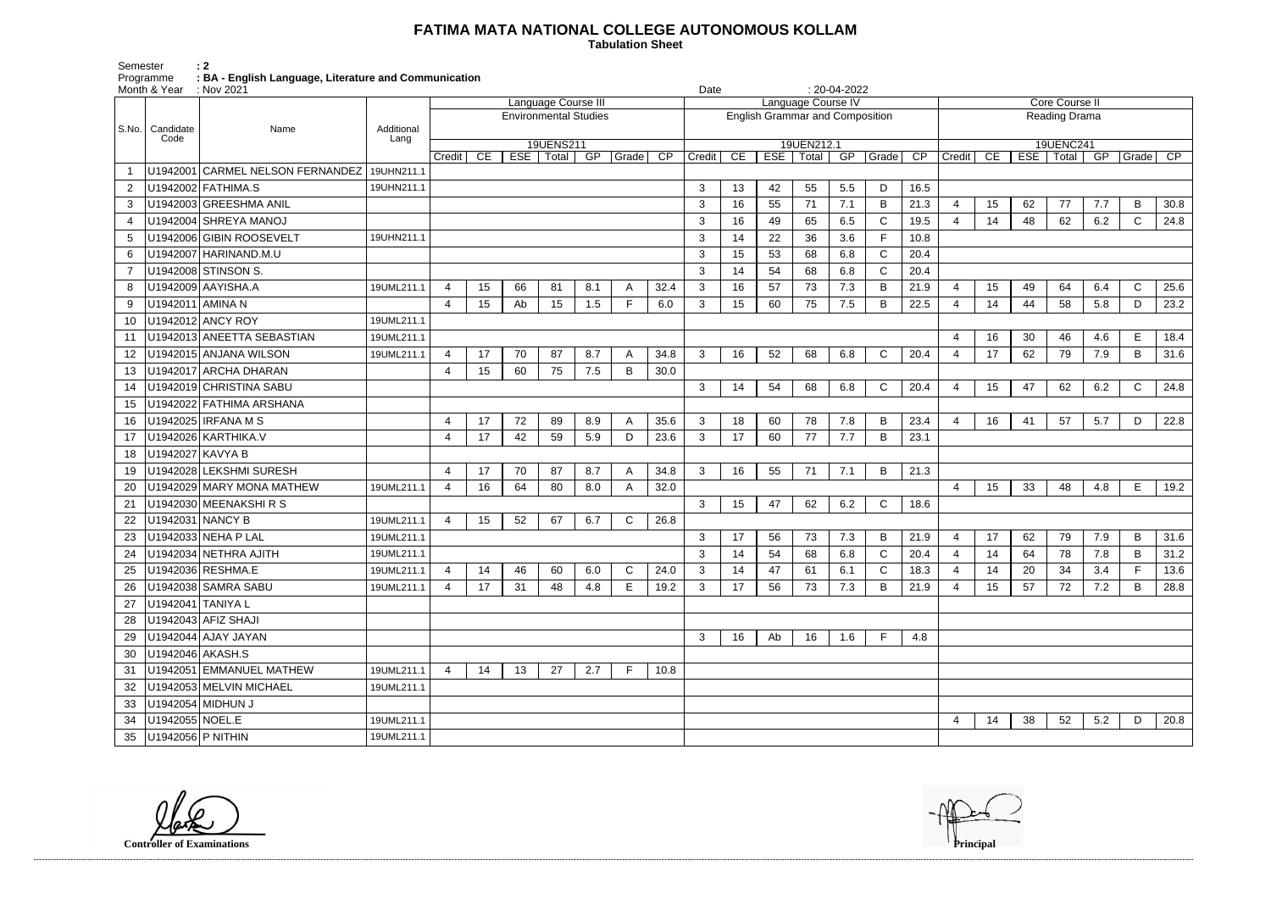## **FATIMA MATA NATIONAL COLLEGE AUTONOMOUS KOLLAM**

 **Tabulation Sheet** 

Semester<br>Programme<br>Month & Year Programme **: BA - English Language, Literature and Communication**

|                | Month & Year : Nov 2021 |                                  |                    |                |    |     |                     |                              |              | Date            |                |    |                                        | $: 20-04-2022$            |     |              |      |                       |    |    |                          |     |              |                 |
|----------------|-------------------------|----------------------------------|--------------------|----------------|----|-----|---------------------|------------------------------|--------------|-----------------|----------------|----|----------------------------------------|---------------------------|-----|--------------|------|-----------------------|----|----|--------------------------|-----|--------------|-----------------|
|                |                         |                                  |                    |                |    |     | Language Course III |                              |              |                 |                |    |                                        | Language Course IV        |     |              |      | <b>Core Course II</b> |    |    |                          |     |              |                 |
|                |                         |                                  |                    |                |    |     |                     | <b>Environmental Studies</b> |              |                 |                |    | <b>English Grammar and Composition</b> |                           |     |              |      | Reading Drama         |    |    |                          |     |              |                 |
| S.No.          | Candidate<br>Code       | Name                             | Additional<br>Lang |                |    |     |                     |                              |              |                 |                |    |                                        |                           |     |              |      |                       |    |    |                          |     |              |                 |
|                |                         |                                  |                    | $C$ redit      | CE | ESE | 19UENS211<br>Total  | GP                           | Grade        | $\overline{CP}$ | Credit         | CE |                                        | 19UEN212.1<br>ESE   Total | GP  | Grade        | CP   | Credit                | CE |    | 19UENC241<br>ESE   Total | GP  | Grade        | $\overline{CP}$ |
|                |                         | U1942001 CARMEL NELSON FERNANDEZ | 19UHN211.1         |                |    |     |                     |                              |              |                 |                |    |                                        |                           |     |              |      |                       |    |    |                          |     |              |                 |
| $\overline{2}$ |                         | U1942002 FATHIMA.S               | 19UHN211.1         |                |    |     |                     |                              |              |                 | 3              | 13 | 42                                     | 55                        | 5.5 | D            | 16.5 |                       |    |    |                          |     |              |                 |
| 3              |                         | U1942003 GREESHMA ANIL           |                    |                |    |     |                     |                              |              |                 | 3              | 16 | 55                                     | 71                        | 7.1 | B            | 21.3 | $\overline{4}$        | 15 | 62 | 77                       | 7.7 | B            | 30.8            |
| 4              |                         | U1942004 SHREYA MANOJ            |                    |                |    |     |                     |                              |              |                 | 3              | 16 | 49                                     | 65                        | 6.5 | $\mathsf{C}$ | 19.5 | $\overline{4}$        | 14 | 48 | 62                       | 6.2 | $\mathsf{C}$ | 24.8            |
| 5              |                         | U1942006 GIBIN ROOSEVELT         | 19UHN211.1         |                |    |     |                     |                              |              |                 | 3              | 14 | 22                                     | 36                        | 3.6 | $\mathsf{F}$ | 10.8 |                       |    |    |                          |     |              |                 |
| 6              |                         | U1942007 HARINAND.M.U            |                    |                |    |     |                     |                              |              |                 | 3              | 15 | 53                                     | 68                        | 6.8 | $\mathsf{C}$ | 20.4 |                       |    |    |                          |     |              |                 |
|                |                         | U1942008 STINSON S.              |                    |                |    |     |                     |                              |              |                 | 3              | 14 | 54                                     | 68                        | 6.8 | $\mathsf{C}$ | 20.4 |                       |    |    |                          |     |              |                 |
| 8              |                         | U1942009 AAYISHA.A               | 19UML211.1         | 4              | 15 | 66  | 81                  | 8.1                          | A            | 32.4            | 3              | 16 | 57                                     | 73                        | 7.3 | B            | 21.9 | $\overline{4}$        | 15 | 49 | 64                       | 6.4 | $\mathsf{C}$ | 25.6            |
| 9              | U1942011 AMINA N        |                                  |                    | $\overline{4}$ | 15 | Ab  | 15                  | 1.5                          | F.           | 6.0             | 3              | 15 | 60                                     | 75                        | 7.5 | $\, {\bf B}$ | 22.5 | $\overline{4}$        | 14 | 44 | 58                       | 5.8 | D            | 23.2            |
| 10             |                         | U1942012 ANCY ROY                | 19UML211.1         |                |    |     |                     |                              |              |                 |                |    |                                        |                           |     |              |      |                       |    |    |                          |     |              |                 |
| 11             |                         | U1942013 ANEETTA SEBASTIAN       | 19UML211.1         |                |    |     |                     |                              |              |                 |                |    |                                        |                           |     |              |      | $\overline{4}$        | 16 | 30 | 46                       | 4.6 | E.           | 18.4            |
| 12             |                         | U1942015 ANJANA WILSON           | 19UML211.1         | 4              | 17 | 70  | 87                  | 8.7                          | A            | 34.8            | 3              | 16 | 52                                     | 68                        | 6.8 | $\mathsf{C}$ | 20.4 | 4                     | 17 | 62 | 79                       | 7.9 | B            | 31.6            |
| 13             |                         | U1942017 ARCHA DHARAN            |                    | 4              | 15 | 60  | 75                  | 7.5                          | B            | 30.0            |                |    |                                        |                           |     |              |      |                       |    |    |                          |     |              |                 |
| 14             |                         | U1942019 CHRISTINA SABU          |                    |                |    |     |                     |                              |              |                 | 3              | 14 | 54                                     | 68                        | 6.8 | $\mathsf{C}$ | 20.4 | $\overline{4}$        | 15 | 47 | 62                       | 6.2 | $\mathsf{C}$ | 24.8            |
| 15             |                         | U1942022 FATHIMA ARSHANA         |                    |                |    |     |                     |                              |              |                 |                |    |                                        |                           |     |              |      |                       |    |    |                          |     |              |                 |
| 16             |                         | U1942025 IRFANA M S              |                    | 4              | 17 | 72  | 89                  | 8.9                          | A            | 35.6            | 3              | 18 | 60                                     | 78                        | 7.8 | B            | 23.4 | $\boldsymbol{\Delta}$ | 16 | 41 | 57                       | 5.7 | D            | 22.8            |
| 17             |                         | U1942026 KARTHIKA.V              |                    | 4              | 17 | 42  | 59                  | 5.9                          | D            | 23.6            | 3              | 17 | 60                                     | 77                        | 7.7 | $\mathsf B$  | 23.1 |                       |    |    |                          |     |              |                 |
| 18             | U1942027 KAVYA B        |                                  |                    |                |    |     |                     |                              |              |                 |                |    |                                        |                           |     |              |      |                       |    |    |                          |     |              |                 |
| 19             |                         | U1942028 LEKSHMI SURESH          |                    | 4              | 17 | 70  | 87                  | 8.7                          | A            | 34.8            | 3              | 16 | 55                                     | 71                        | 7.1 | B            | 21.3 |                       |    |    |                          |     |              |                 |
| 20             |                         | U1942029 MARY MONA MATHEW        | 19UML211.1         | $\overline{4}$ | 16 | 64  | 80                  | 8.0                          |              | 32.0            |                |    |                                        |                           |     |              |      | $\overline{4}$        | 15 | 33 | 48                       | 4.8 | E            | 19.2            |
| 21             |                         | U1942030 MEENAKSHIRS             |                    |                |    |     |                     |                              |              |                 | 3              | 15 | 47                                     | 62                        | 6.2 | C            | 18.6 |                       |    |    |                          |     |              |                 |
| 22             | U1942031 NANCY B        |                                  | 19UML211.1         | 4              | 15 | 52  | 67                  | 6.7                          | $\mathsf{C}$ | 26.8            |                |    |                                        |                           |     |              |      |                       |    |    |                          |     |              |                 |
| 23             |                         | U1942033 NEHA P LAL              | 19UML211.1         |                |    |     |                     |                              |              |                 | 3              | 17 | 56                                     | 73                        | 7.3 | B            | 21.9 | $\overline{4}$        | 17 | 62 | 79                       | 7.9 | B            | 31.6            |
| 24             |                         | U1942034 NETHRA AJITH            | 19UML211.1         |                |    |     |                     |                              |              |                 | 3              | 14 | 54                                     | 68                        | 6.8 | $\mathsf{C}$ | 20.4 | $\overline{4}$        | 14 | 64 | 78                       | 7.8 | B            | 31.2            |
| 25             |                         | U1942036 RESHMA.E                | 19UML211.1         | 4              | 14 | 46  | 60                  | 6.0                          | C            | 24.0            | 3              | 14 | 47                                     | 61                        | 6.1 | C            | 18.3 | 4                     | 14 | 20 | 34                       | 3.4 | $\mathsf F$  | 13.6            |
| 26             |                         | U1942038 SAMRA SABU              | 19UML211.1         | $\overline{4}$ | 17 | 31  | 48                  | 4.8                          | E.           | 19.2            | 3              | 17 | 56                                     | 73                        | 7.3 | B            | 21.9 | 4                     | 15 | 57 | 72                       | 7.2 | B            | 28.8            |
| 27             | U1942041   TANIYA L     |                                  |                    |                |    |     |                     |                              |              |                 |                |    |                                        |                           |     |              |      |                       |    |    |                          |     |              |                 |
| 28             |                         | U1942043 AFIZ SHAJI              |                    |                |    |     |                     |                              |              |                 |                |    |                                        |                           |     |              |      |                       |    |    |                          |     |              |                 |
| 29             |                         | U1942044 AJAY JAYAN              |                    |                |    |     |                     |                              |              |                 | 3 <sup>1</sup> | 16 | Ab                                     | 16                        | 1.6 | $\mathsf F$  | 4.8  |                       |    |    |                          |     |              |                 |
| 30             | U1942046 AKASH.S        |                                  |                    |                |    |     |                     |                              |              |                 |                |    |                                        |                           |     |              |      |                       |    |    |                          |     |              |                 |
| 31             |                         | U1942051 EMMANUEL MATHEW         | 19UML211.1         | $\overline{4}$ | 14 | 13  | 27                  | 2.7                          | F            | 10.8            |                |    |                                        |                           |     |              |      |                       |    |    |                          |     |              |                 |
| 32             |                         | U1942053 MELVIN MICHAEL          | 19UML211.1         |                |    |     |                     |                              |              |                 |                |    |                                        |                           |     |              |      |                       |    |    |                          |     |              |                 |
| 33             | U1942054 MIDHUN J       |                                  |                    |                |    |     |                     |                              |              |                 |                |    |                                        |                           |     |              |      |                       |    |    |                          |     |              |                 |
| 34             | U1942055 NOEL.E         |                                  | 19UML211.1         |                |    |     |                     |                              |              |                 |                |    |                                        |                           |     |              |      | 4                     | 14 | 38 | 52                       | 5.2 | D            | 20.8            |
| 35             | U1942056 P NITHIN       |                                  | 19UML211.1         |                |    |     |                     |                              |              |                 |                |    |                                        |                           |     |              |      |                       |    |    |                          |     |              |                 |

**Controller of Examinations**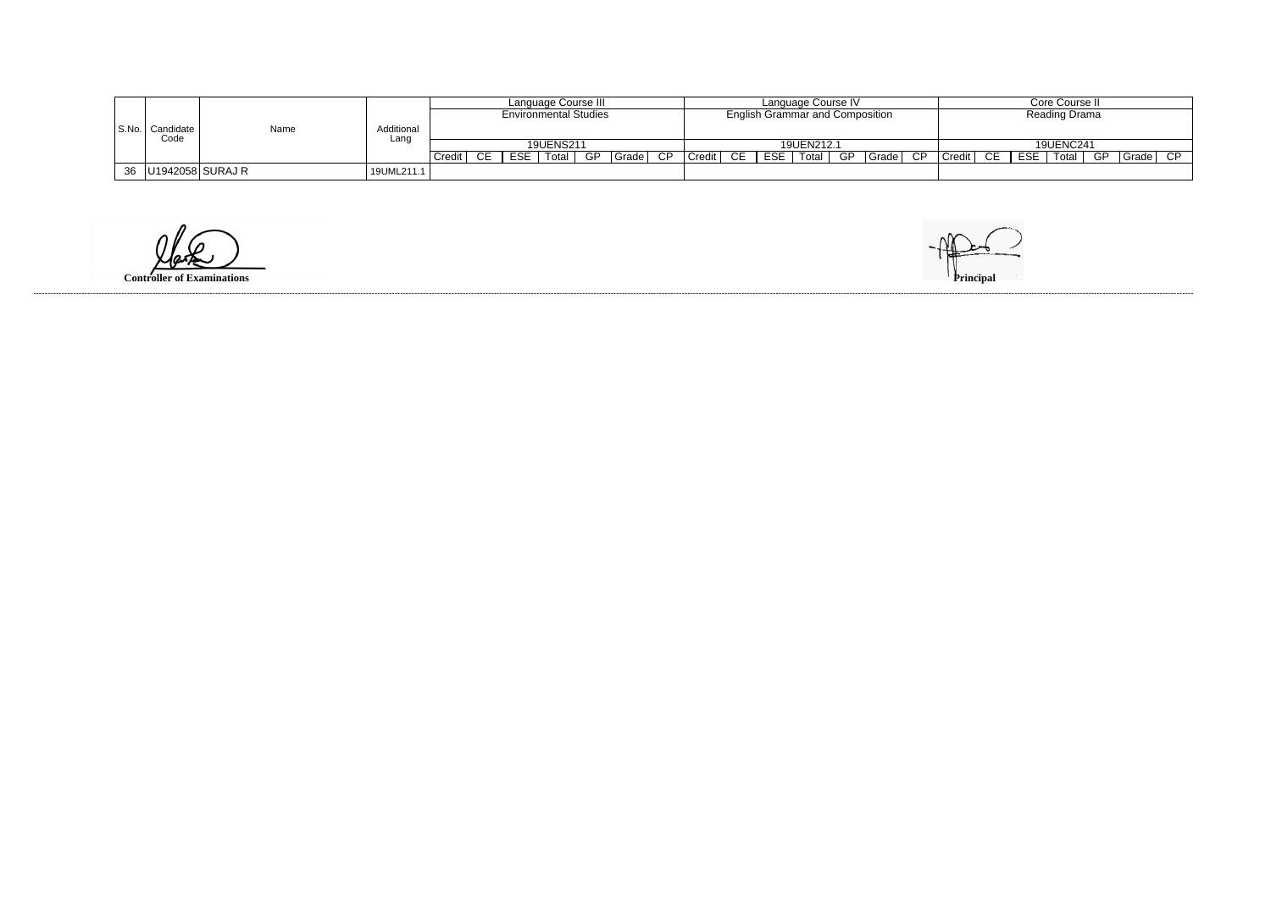|                             |                         |                    | Language Course III          |        |            |                  |  |             |  |               |    |     | Language Course IV                     |  | Core Course II     |    |     |            |  |          |  |
|-----------------------------|-------------------------|--------------------|------------------------------|--------|------------|------------------|--|-------------|--|---------------|----|-----|----------------------------------------|--|--------------------|----|-----|------------|--|----------|--|
|                             |                         |                    | <b>Environmental Studies</b> |        |            |                  |  |             |  |               |    |     | <b>English Grammar and Composition</b> |  | Reading Drama      |    |     |            |  |          |  |
| S.No.   Candidate  <br>Code | Name                    | Additional<br>Lanc |                              |        |            |                  |  |             |  |               |    |     |                                        |  |                    |    |     |            |  |          |  |
|                             |                         |                    |                              |        |            | <b>19UENS211</b> |  |             |  |               |    |     | 19UEN212.1                             |  |                    |    |     | 19UENC241  |  |          |  |
|                             |                         |                    | Credit                       | $CE =$ | <b>ESE</b> | Total            |  | GP Grade CP |  | <b>Credit</b> | CE | ESE | $\sqrt{ }$ Total $\mid$                |  | GP Grade CP Credit | CE | ESE | Total   GP |  | Grade CP |  |
|                             | 36   U1942058   SURAJ R | 19UML211.1         |                              |        |            |                  |  |             |  |               |    |     |                                        |  |                    |    |     |            |  |          |  |

**Controller of Examinations**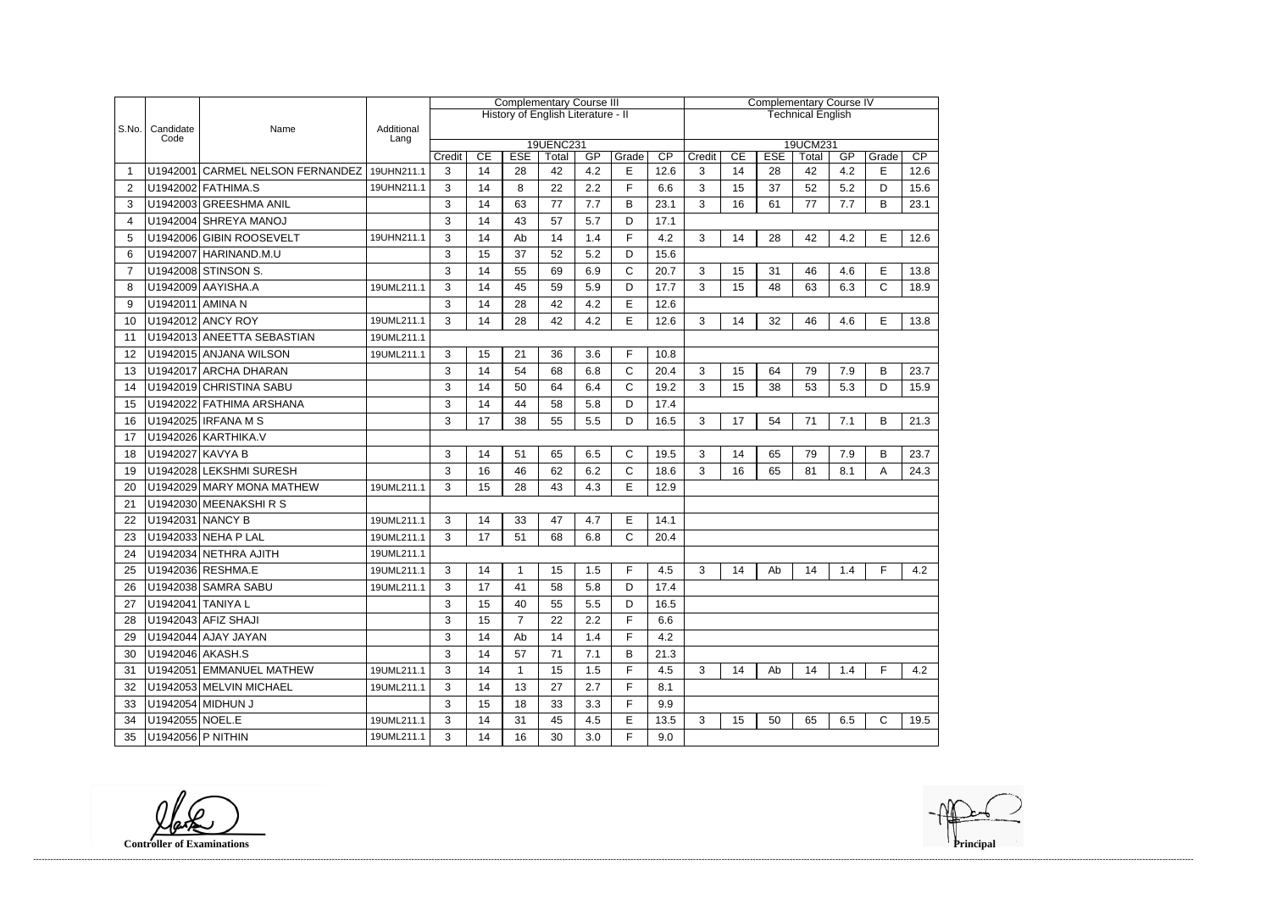|                |                    |                                  |                    | <b>Complementary Course III</b> |    |                |                                    |     |              | <b>Complementary Course IV</b> |                          |    |            |             |     |              |                 |  |
|----------------|--------------------|----------------------------------|--------------------|---------------------------------|----|----------------|------------------------------------|-----|--------------|--------------------------------|--------------------------|----|------------|-------------|-----|--------------|-----------------|--|
|                |                    |                                  |                    |                                 |    |                | History of English Literature - II |     |              |                                | <b>Technical English</b> |    |            |             |     |              |                 |  |
| S.No.          | Candidate<br>Code  | Name                             | Additional<br>Lang |                                 |    |                |                                    |     |              |                                |                          |    |            |             |     |              |                 |  |
|                |                    |                                  |                    |                                 | CE | <b>ESE</b>     | 19UENC231                          | GP  | Grade        | $\overline{CP}$                | Credit                   | CE | <b>ESE</b> | 19UCM231    | GP  |              | $\overline{CP}$ |  |
|                |                    | U1942001 CARMEL NELSON FERNANDEZ | 19UHN211.1         | Credit<br>3                     | 14 | 28             | Total<br>42                        | 4.2 | E            | 12.6                           | 3                        | 14 | 28         | Total<br>42 | 4.2 | Grade<br>E   | 12.6            |  |
| 2              |                    | U1942002 FATHIMA.S               | 19UHN211.1         | 3                               | 14 | 8              | 22                                 | 2.2 | F.           | 6.6                            | 3                        | 15 | 37         | 52          | 5.2 | D            | 15.6            |  |
| 3              |                    | U1942003 GREESHMA ANIL           |                    | 3                               | 14 | 63             | 77                                 | 7.7 | B            | 23.1                           | 3                        | 16 | 61         | 77          | 7.7 | B            | 23.1            |  |
| 4              |                    | U1942004 SHREYA MANOJ            |                    | 3                               | 14 | 43             | 57                                 | 5.7 | D            | 17.1                           |                          |    |            |             |     |              |                 |  |
| 5              |                    | U1942006 GIBIN ROOSEVELT         | 19UHN211.1         | 3                               | 14 | Ab             | 14                                 | 1.4 | F            | 4.2                            | 3                        | 14 | 28         | 42          | 4.2 | E.           | 12.6            |  |
| 6              |                    | U1942007 HARINAND.M.U            |                    | 3                               | 15 | 37             | 52                                 | 5.2 | D            | 15.6                           |                          |    |            |             |     |              |                 |  |
| $\overline{7}$ |                    | U1942008 STINSON S.              |                    | $\mathfrak{S}$                  | 14 | 55             | 69                                 | 6.9 | C            | 20.7                           | 3                        | 15 | 31         | 46          | 4.6 | E            | 13.8            |  |
| 8              |                    | U1942009 AAYISHA.A               | 19UML211.1         | 3                               | 14 | 45             | 59                                 | 5.9 | D            | 17.7                           | 3                        | 15 | 48         | 63          | 6.3 | $\mathsf{C}$ | 18.9            |  |
| 9              | U1942011 AMINA N   |                                  |                    | 3                               | 14 | 28             | 42                                 | 4.2 | E            | 12.6                           |                          |    |            |             |     |              |                 |  |
| 10             |                    | U1942012 ANCY ROY                | 19UML211.1         | 3                               | 14 | 28             | 42                                 | 4.2 | E            | 12.6                           | 3                        | 14 | 32         | 46          | 4.6 | E            | 13.8            |  |
| 11             |                    | U1942013 ANEETTA SEBASTIAN       | 19UML211.1         |                                 |    |                |                                    |     |              |                                |                          |    |            |             |     |              |                 |  |
| 12             |                    | U1942015 ANJANA WILSON           | 19UML211.1         | 3                               | 15 | 21             | 36                                 | 3.6 | F.           | 10.8                           |                          |    |            |             |     |              |                 |  |
| 13             |                    | U1942017 ARCHA DHARAN            |                    | 3                               | 14 | 54             | 68                                 | 6.8 | C            | 20.4                           | 3                        | 15 | 64         | 79          | 7.9 | B            | 23.7            |  |
| 14             |                    | U1942019 CHRISTINA SABU          |                    | 3                               | 14 | 50             | 64                                 | 6.4 | $\mathsf{C}$ | 19.2                           | 3                        | 15 | 38         | 53          | 5.3 | D            | 15.9            |  |
| 15             |                    | U1942022 FATHIMA ARSHANA         |                    | 3                               | 14 | 44             | 58                                 | 5.8 | D            | 17.4                           |                          |    |            |             |     |              |                 |  |
| 16             |                    | U1942025 IRFANA M S              |                    | 3                               | 17 | 38             | 55                                 | 5.5 | D            | 16.5                           | 3                        | 17 | 54         | 71          | 7.1 | B            | 21.3            |  |
| 17             |                    | U1942026 KARTHIKA.V              |                    |                                 |    |                |                                    |     |              |                                |                          |    |            |             |     |              |                 |  |
| 18             | U1942027 KAVYA B   |                                  |                    | 3                               | 14 | 51             | 65                                 | 6.5 | C            | 19.5                           | 3                        | 14 | 65         | 79          | 7.9 | В            | 23.7            |  |
| 19             |                    | U1942028 LEKSHMI SURESH          |                    | 3                               | 16 | 46             | 62                                 | 6.2 | C            | 18.6                           | 3                        | 16 | 65         | 81          | 8.1 | Α            | 24.3            |  |
| 20             |                    | U1942029 MARY MONA MATHEW        | 19UML211.1         | 3                               | 15 | 28             | 43                                 | 4.3 | E.           | 12.9                           |                          |    |            |             |     |              |                 |  |
| 21             |                    | U1942030 MEENAKSHIRS             |                    |                                 |    |                |                                    |     |              |                                |                          |    |            |             |     |              |                 |  |
| 22             | U1942031 NANCY B   |                                  | 19UML211.1         | 3                               | 14 | 33             | 47                                 | 4.7 | E            | 14.1                           |                          |    |            |             |     |              |                 |  |
| 23             |                    | U1942033 NEHA P LAL              | 19UML211.1         | 3                               | 17 | 51             | 68                                 | 6.8 | C            | 20.4                           |                          |    |            |             |     |              |                 |  |
| 24             |                    | U1942034 NETHRA AJITH            | 19UML211.1         |                                 |    |                |                                    |     |              |                                |                          |    |            |             |     |              |                 |  |
| 25             |                    | U1942036 RESHMA.E                | 19UML211.1         | 3                               | 14 |                | 15                                 | 1.5 | F            | 4.5                            | 3                        | 14 | Ab         | 14          | 1.4 | F.           | 4.2             |  |
| 26             |                    | U1942038 SAMRA SABU              | 19UML211.1         | 3                               | 17 | 41             | 58                                 | 5.8 | D            | 17.4                           |                          |    |            |             |     |              |                 |  |
| 27             | U1942041 TANIYA L  |                                  |                    | 3                               | 15 | 40             | 55                                 | 5.5 | D            | 16.5                           |                          |    |            |             |     |              |                 |  |
| 28             |                    | U1942043 AFIZ SHAJI              |                    | 3                               | 15 | $\overline{7}$ | 22                                 | 2.2 | F.           | 6.6                            |                          |    |            |             |     |              |                 |  |
| 29             |                    | U1942044 AJAY JAYAN              |                    | 3                               | 14 | Ab             | 14                                 | 1.4 | F.           | 4.2                            |                          |    |            |             |     |              |                 |  |
| 30             | U1942046   AKASH.S |                                  |                    | 3                               | 14 | 57             | 71                                 | 7.1 | B            | 21.3                           |                          |    |            |             |     |              |                 |  |
| 31             |                    | U1942051 EMMANUEL MATHEW         | 19UML211.1         | 3                               | 14 | $\mathbf{1}$   | 15                                 | 1.5 | F.           | 4.5                            | 3                        | 14 | Ab         | 14          | 1.4 | F            | 4.2             |  |
| 32             |                    | U1942053 MELVIN MICHAEL          | 19UML211.1         | 3                               | 14 | 13             | 27                                 | 2.7 | F.           | 8.1                            |                          |    |            |             |     |              |                 |  |
| 33             |                    | U1942054 MIDHUN J                |                    | 3                               | 15 | 18             | 33                                 | 3.3 | F            | 9.9                            |                          |    |            |             |     |              |                 |  |
| 34             | U1942055 NOEL.E    |                                  | 19UML211.1         | 3                               | 14 | 31             | 45                                 | 4.5 | E            | 13.5                           | 3                        | 15 | 50         | 65          | 6.5 | $\mathsf{C}$ | 19.5            |  |
| 35             | U1942056 P NITHIN  |                                  | 19UML211.1         | 3                               | 14 | 16             | 30                                 | 3.0 | F.           | 9.0                            |                          |    |            |             |     |              |                 |  |

**Controller of Examinations**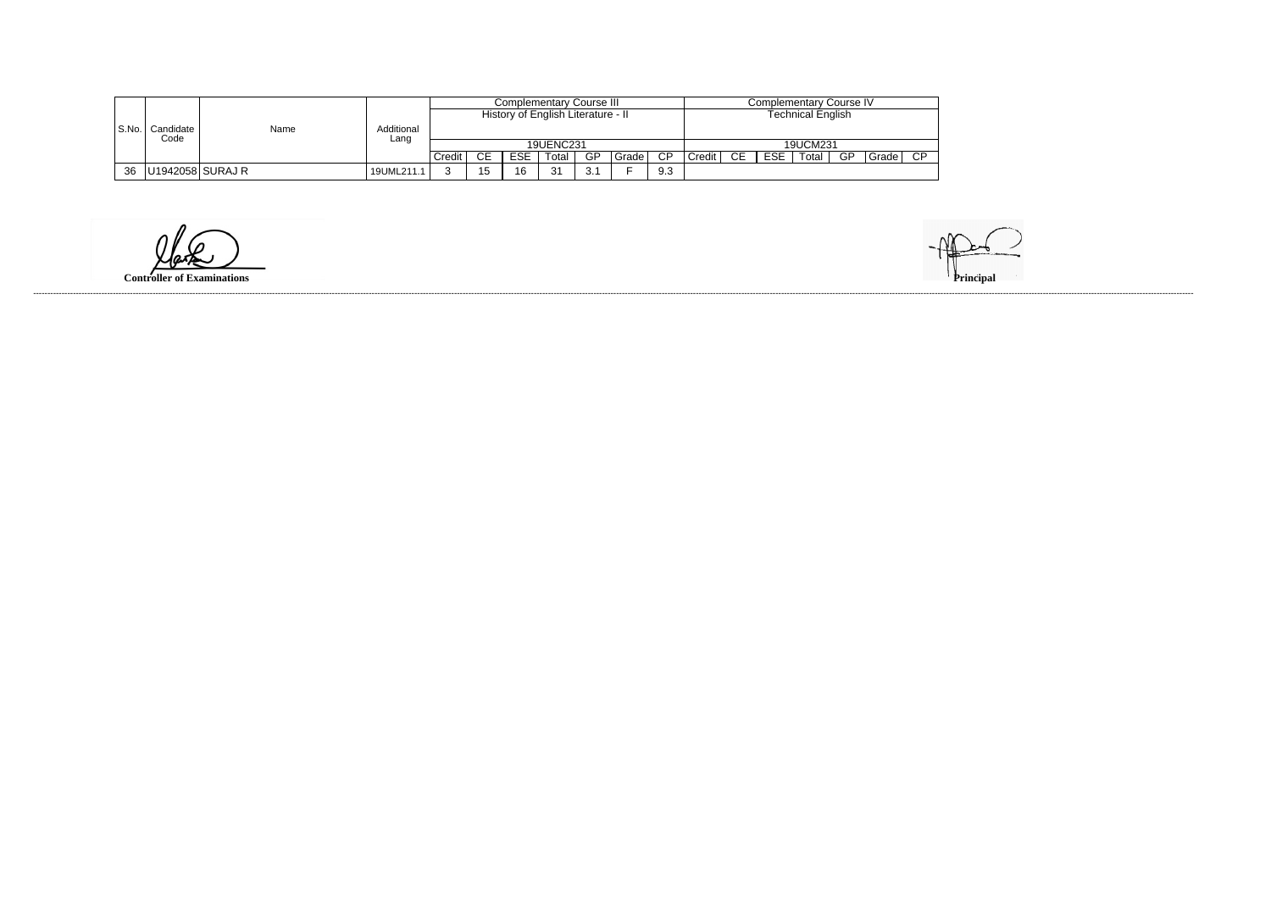|    |                             |      |                    |        |    |            | Complementary Course III           | Complementary Course IV |       |                   |                     |           |            |          |    |        |      |
|----|-----------------------------|------|--------------------|--------|----|------------|------------------------------------|-------------------------|-------|-------------------|---------------------|-----------|------------|----------|----|--------|------|
|    |                             |      |                    |        |    |            | History of English Literature - II |                         |       | Technical English |                     |           |            |          |    |        |      |
|    | S.No.   Candidate  <br>Code | Name | Additional<br>Lang |        |    |            |                                    |                         |       |                   |                     |           |            |          |    |        |      |
|    |                             |      |                    |        |    |            | 19UENC231                          |                         |       |                   |                     |           |            | 19UCM231 |    |        |      |
|    |                             |      |                    | Credit | CЕ | <b>ESE</b> | Total                              | GP                      | Grade | <b>CP</b>         | Credit <sup>1</sup> | <b>CE</b> | <b>ESE</b> | Total    | GP | Gradel | - CD |
| 36 | U1942058 SURAJ R            |      | 19UML211.1         | ⌒      | 15 | 16         | 31                                 | -2.1<br>◡.              |       | 9.3               |                     |           |            |          |    |        |      |

**Controller of Examinations**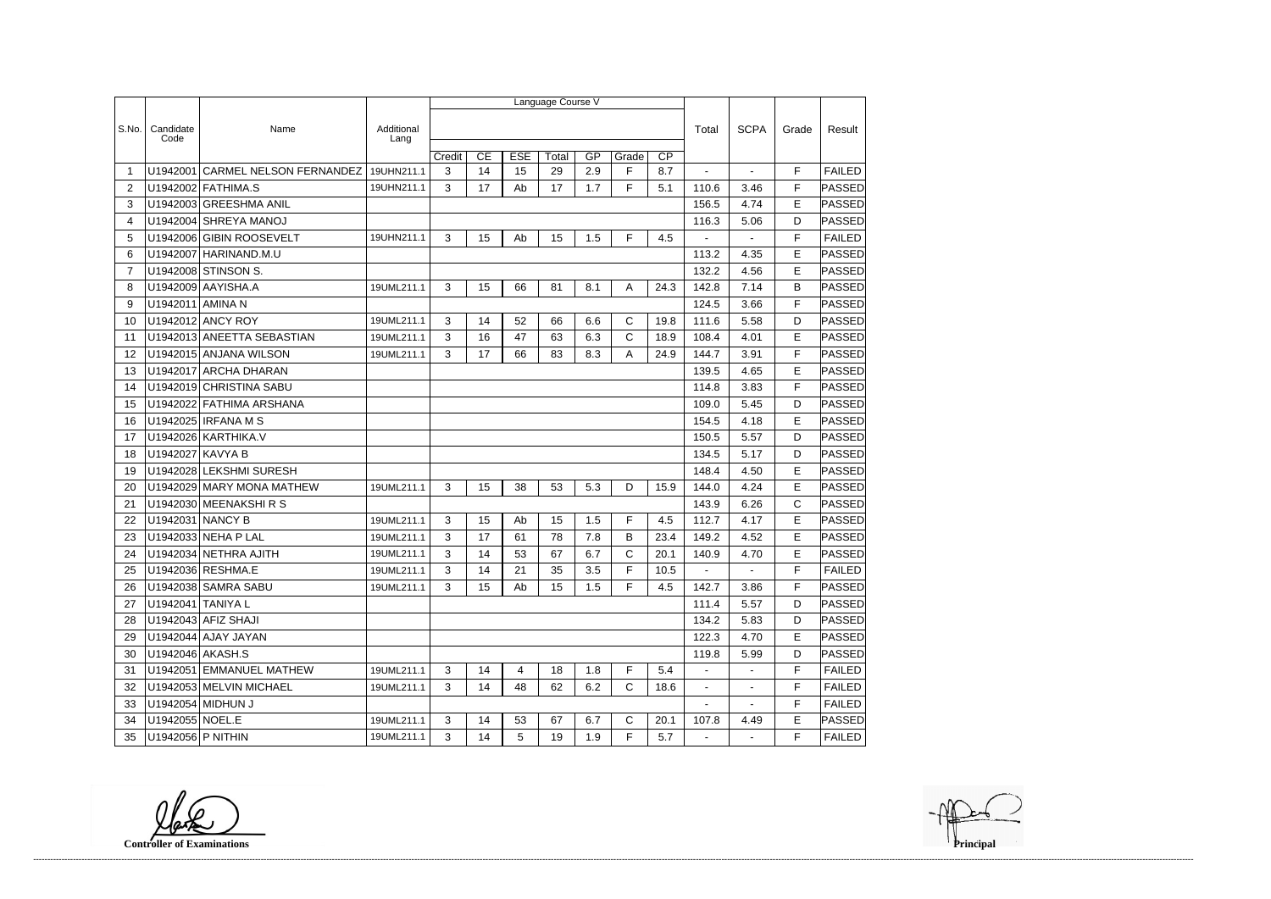|                |                   |                                |                    |        |    |            | Language Course V |     |              |                 |                |                |             |               |
|----------------|-------------------|--------------------------------|--------------------|--------|----|------------|-------------------|-----|--------------|-----------------|----------------|----------------|-------------|---------------|
|                |                   |                                |                    |        |    |            |                   |     |              |                 |                |                |             |               |
| S.No.          | Candidate<br>Code | Name                           | Additional<br>Lang |        |    |            |                   |     |              |                 | Total          | <b>SCPA</b>    | Grade       | Result        |
|                |                   |                                |                    | Credit | CE | <b>ESE</b> | Total             | GP  | Grade        | $\overline{CP}$ |                |                |             |               |
|                | U1942001          | <b>CARMEL NELSON FERNANDEZ</b> | 19UHN211.1         | 3      | 14 | 15         | 29                | 2.9 | F            | 8.7             |                |                | F           | <b>FAILED</b> |
| 2              |                   | U1942002 FATHIMA.S             | 19UHN211.1         | 3      | 17 | Ab         | 17                | 1.7 | F            | 5.1             | 110.6          | 3.46           | F           | PASSED        |
| 3              |                   | U1942003 GREESHMA ANIL         |                    |        |    |            |                   |     |              |                 | 156.5          | 4.74           | E           | PASSED        |
| 4              |                   | U1942004 SHREYA MANOJ          |                    |        |    |            |                   |     |              |                 | 116.3          | 5.06           | D           | PASSED        |
| 5              | U1942006          | <b>GIBIN ROOSEVELT</b>         | 19UHN211.1         | 3      | 15 | Ab         | 15                | 1.5 | F            | 4.5             |                |                | F           | <b>FAILED</b> |
| 6              |                   | U1942007 HARINAND.M.U          |                    |        |    |            |                   |     |              |                 | 113.2          | 4.35           | E           | PASSED        |
| $\overline{7}$ |                   | U1942008 STINSON S.            |                    |        |    |            |                   |     |              |                 | 132.2          | 4.56           | E           | PASSED        |
| 8              |                   | U1942009 AAYISHA.A             | 19UML211.1         | 3      | 15 | 66         | 81                | 8.1 | A            | 24.3            | 142.8          | 7.14           | В           | PASSED        |
| 9              | U1942011 AMINA N  |                                |                    |        |    |            |                   |     |              |                 | 124.5          | 3.66           | F           | PASSED        |
| 10             |                   | U1942012 ANCY ROY              | 19UML211.1         | 3      | 14 | 52         | 66                | 6.6 | C            | 19.8            | 111.6          | 5.58           | D           | PASSED        |
| 11             |                   | U1942013 ANEETTA SEBASTIAN     | 19UML211.1         | 3      | 16 | 47         | 63                | 6.3 | $\mathsf{C}$ | 18.9            | 108.4          | 4.01           | E           | PASSED        |
| 12             |                   | U1942015 ANJANA WILSON         | 19UML211.1         | 3      | 17 | 66         | 83                | 8.3 | Α            | 24.9            | 144.7          | 3.91           | F           | PASSED        |
| 13             |                   | U1942017 ARCHA DHARAN          |                    |        |    |            |                   |     |              |                 | 139.5          | 4.65           | E           | PASSED        |
| 14             |                   | U1942019 CHRISTINA SABU        |                    |        |    |            |                   |     |              |                 | 114.8          | 3.83           | F           | PASSED        |
| 15             |                   | U1942022 FATHIMA ARSHANA       |                    |        |    |            |                   |     |              |                 | 109.0          | 5.45           | D           | PASSED        |
| 16             |                   | U1942025 IRFANA M S            |                    |        |    |            |                   |     |              |                 | 154.5          | 4.18           | E           | PASSED        |
| 17             |                   | U1942026 KARTHIKA.V            |                    |        |    |            |                   |     |              |                 | 150.5          | 5.57           | D           | PASSED        |
| 18             | U1942027 KAVYA B  |                                |                    |        |    |            |                   |     |              |                 | 134.5          | 5.17           | D           | PASSED        |
| 19             |                   | U1942028 LEKSHMI SURESH        |                    |        |    |            |                   |     |              |                 | 148.4          | 4.50           | E           | PASSED        |
| 20             |                   | U1942029 MARY MONA MATHEW      | 19UML211.1         | 3      | 15 | 38         | 53                | 5.3 | D            | 15.9            | 144.0          | 4.24           | E           | PASSED        |
| 21             |                   | U1942030 MEENAKSHIRS           |                    |        |    |            |                   |     |              |                 | 143.9          | 6.26           | $\mathsf C$ | PASSED        |
| 22             | U1942031 NANCY B  |                                | 19UML211.1         | 3      | 15 | Ab         | 15                | 1.5 | F            | 4.5             | 112.7          | 4.17           | E           | PASSED        |
| 23             |                   | U1942033 NEHA P LAL            | 19UML211.1         | 3      | 17 | 61         | 78                | 7.8 | В            | 23.4            | 149.2          | 4.52           | E           | PASSED        |
| 24             |                   | U1942034 NETHRA AJITH          | 19UML211.1         | 3      | 14 | 53         | 67                | 6.7 | C            | 20.1            | 140.9          | 4.70           | E           | PASSED        |
| 25             |                   | U1942036 RESHMA.E              | 19UML211.1         | 3      | 14 | 21         | 35                | 3.5 | F            | 10.5            |                |                | F           | <b>FAILED</b> |
| 26             |                   | U1942038 SAMRA SABU            | 19UML211.1         | 3      | 15 | Ab         | 15                | 1.5 | F            | 4.5             | 142.7          | 3.86           | F           | PASSED        |
| 27             | U1942041 TANIYA L |                                |                    |        |    |            |                   |     |              |                 | 111.4          | 5.57           | D.          | <b>PASSED</b> |
| 28             |                   | U1942043 AFIZ SHAJI            |                    |        |    |            |                   |     |              |                 | 134.2          | 5.83           | D           | PASSED        |
| 29             |                   | U1942044 AJAY JAYAN            |                    |        |    |            |                   |     |              |                 | 122.3          | 4.70           | E           | PASSED        |
| 30             | U1942046 AKASH.S  |                                |                    |        |    |            |                   |     |              |                 | 119.8          | 5.99           | D           | <b>PASSED</b> |
| 31             |                   | U1942051 EMMANUEL MATHEW       | 19UML211.1         | 3      | 14 | 4          | 18                | 1.8 | F            | 5.4             |                | $\blacksquare$ | F           | <b>FAILED</b> |
| 32             |                   | U1942053 MELVIN MICHAEL        | 19UML211.1         | 3      | 14 | 48         | 62                | 6.2 | C            | 18.6            | $\blacksquare$ | $\blacksquare$ | F           | <b>FAILED</b> |
| 33             |                   | U1942054 MIDHUN J              |                    |        |    |            |                   |     |              |                 |                |                | F           | <b>FAILED</b> |
| 34             | U1942055 NOEL.E   |                                | 19UML211.1         | 3      | 14 | 53         | 67                | 6.7 | $\mathbf C$  | 20.1            | 107.8          | 4.49           | E           | PASSED        |
| 35             | U1942056 P NITHIN |                                | 19UML211.1         | 3      | 14 | 5          | 19                | 1.9 | F            | 5.7             | $\sim$         | $\sim$         | F.          | <b>FAILED</b> |

**Controller of Examinations**